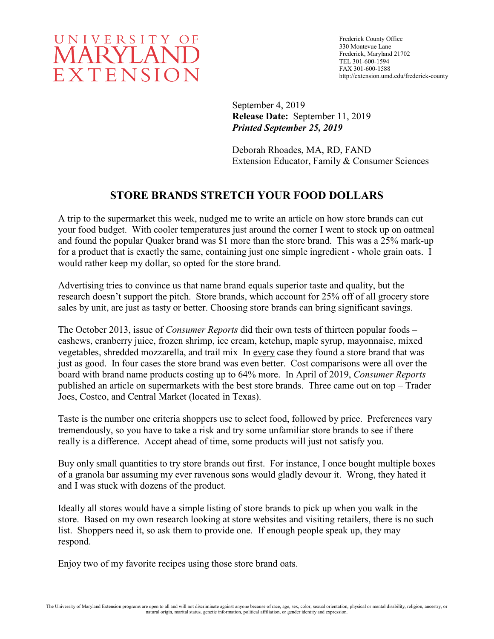

Frederick County Office 330 Montevue Lane Frederick, Maryland 21702 TEL 301-600-1594 FAX 301-600-1588 http://extension.umd.edu/frederick-county

September 4, 2019 **Release Date:** September 11, 2019 *Printed September 25, 2019*

Deborah Rhoades, MA, RD, FAND Extension Educator, Family & Consumer Sciences

## **STORE BRANDS STRETCH YOUR FOOD DOLLARS**

A trip to the supermarket this week, nudged me to write an article on how store brands can cut your food budget. With cooler temperatures just around the corner I went to stock up on oatmeal and found the popular Quaker brand was \$1 more than the store brand. This was a 25% mark-up for a product that is exactly the same, containing just one simple ingredient - whole grain oats. I would rather keep my dollar, so opted for the store brand.

Advertising tries to convince us that name brand equals superior taste and quality, but the research doesn't support the pitch. Store brands, which account for 25% off of all grocery store sales by unit, are just as tasty or better. Choosing store brands can bring significant savings.

The October 2013, issue of *Consumer Reports* did their own tests of thirteen popular foods – cashews, cranberry juice, frozen shrimp, ice cream, ketchup, maple syrup, mayonnaise, mixed vegetables, shredded mozzarella, and trail mix In every case they found a store brand that was just as good. In four cases the store brand was even better. Cost comparisons were all over the board with brand name products costing up to 64% more. In April of 2019, *Consumer Reports* published an article on supermarkets with the best store brands. Three came out on top – Trader Joes, Costco, and Central Market (located in Texas).

Taste is the number one criteria shoppers use to select food, followed by price. Preferences vary tremendously, so you have to take a risk and try some unfamiliar store brands to see if there really is a difference. Accept ahead of time, some products will just not satisfy you.

Buy only small quantities to try store brands out first. For instance, I once bought multiple boxes of a granola bar assuming my ever ravenous sons would gladly devour it. Wrong, they hated it and I was stuck with dozens of the product.

Ideally all stores would have a simple listing of store brands to pick up when you walk in the store. Based on my own research looking at store websites and visiting retailers, there is no such list. Shoppers need it, so ask them to provide one. If enough people speak up, they may respond.

Enjoy two of my favorite recipes using those store brand oats.